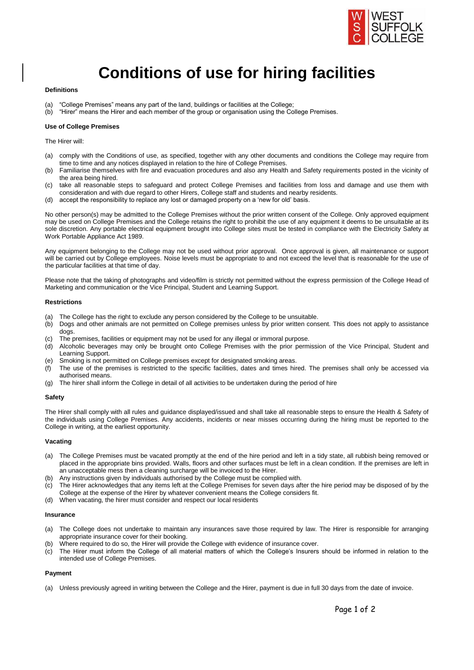

# **Conditions of use for hiring facilities**

#### **Definitions**

- 
- (a) "College Premises" means any part of the land, buildings or facilities at the College;<br>(b) "Hirer" means the Hirer and each member of the group or organisation using the Co (b) "Hirer" means the Hirer and each member of the group or organisation using the College Premises.

#### **Use of College Premises**

The Hirer will:

- (a) comply with the Conditions of use, as specified, together with any other documents and conditions the College may require from time to time and any notices displayed in relation to the hire of College Premises.
- (b) Familiarise themselves with fire and evacuation procedures and also any Health and Safety requirements posted in the vicinity of the area being hired.
- (c) take all reasonable steps to safeguard and protect College Premises and facilities from loss and damage and use them with consideration and with due regard to other Hirers, College staff and students and nearby residents.
- (d) accept the responsibility to replace any lost or damaged property on a 'new for old' basis.

No other person(s) may be admitted to the College Premises without the prior written consent of the College. Only approved equipment may be used on College Premises and the College retains the right to prohibit the use of any equipment it deems to be unsuitable at its sole discretion. Any portable electrical equipment brought into College sites must be tested in compliance with the Electricity Safety at Work Portable Appliance Act 1989.

Any equipment belonging to the College may not be used without prior approval. Once approval is given, all maintenance or support will be carried out by College employees. Noise levels must be appropriate to and not exceed the level that is reasonable for the use of the particular facilities at that time of day.

Please note that the taking of photographs and video/film is strictly not permitted without the express permission of the College Head of Marketing and communication or the Vice Principal, Student and Learning Support.

#### **Restrictions**

- (a) The College has the right to exclude any person considered by the College to be unsuitable.
- (b) Dogs and other animals are not permitted on College premises unless by prior written consent. This does not apply to assistance dogs.
- (c) The premises, facilities or equipment may not be used for any illegal or immoral purpose.
- (d) Alcoholic beverages may only be brought onto College Premises with the prior permission of the Vice Principal, Student and Learning Support.
- (e) Smoking is not permitted on College premises except for designated smoking areas.
- (f) The use of the premises is restricted to the specific facilities, dates and times hired. The premises shall only be accessed via authorised means.
- (g) The hirer shall inform the College in detail of all activities to be undertaken during the period of hire

#### **Safety**

The Hirer shall comply with all rules and guidance displayed/issued and shall take all reasonable steps to ensure the Health & Safety of the individuals using College Premises. Any accidents, incidents or near misses occurring during the hiring must be reported to the College in writing, at the earliest opportunity.

## **Vacating**

- (a) The College Premises must be vacated promptly at the end of the hire period and left in a tidy state, all rubbish being removed or placed in the appropriate bins provided. Walls, floors and other surfaces must be left in a clean condition. If the premises are left in an unacceptable mess then a cleaning surcharge will be invoiced to the Hirer.
- (b) Any instructions given by individuals authorised by the College must be complied with.
- (c) The Hirer acknowledges that any items left at the College Premises for seven days after the hire period may be disposed of by the College at the expense of the Hirer by whatever convenient means the College considers fit.
- (d) When vacating, the hirer must consider and respect our local residents

#### **Insurance**

- (a) The College does not undertake to maintain any insurances save those required by law. The Hirer is responsible for arranging appropriate insurance cover for their booking.
- (b) Where required to do so, the Hirer will provide the College with evidence of insurance cover.
- (c) The Hirer must inform the College of all material matters of which the College's Insurers should be informed in relation to the intended use of College Premises.

#### **Payment**

(a) Unless previously agreed in writing between the College and the Hirer, payment is due in full 30 days from the date of invoice.